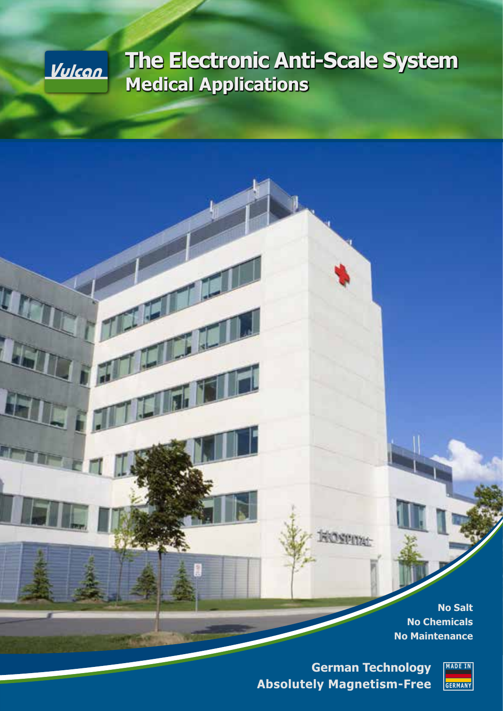

47

# **The Electronic Anti-Scale System Medical Applications**

**No Salt No Chemicals No Maintenance**

**German Technology Absolutely Magnetism-Free**

**ROSPITAL** 

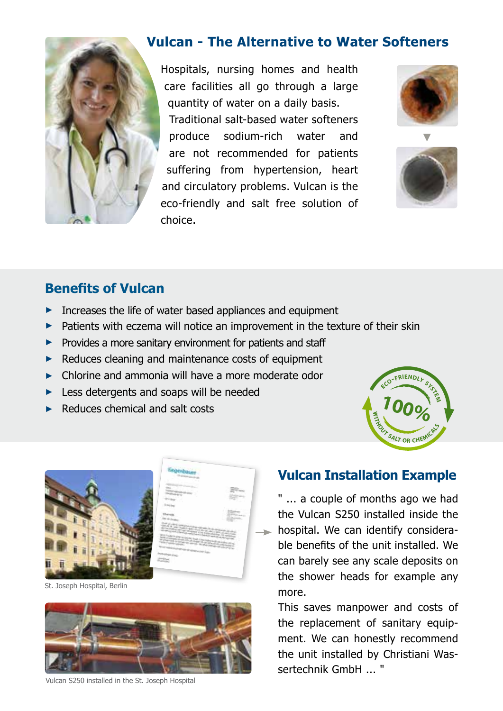

#### **Vulcan - The Alternative to Water Softeners**

Hospitals, nursing homes and health care facilities all go through a large quantity of water on a daily basis. Traditional salt-based water softeners produce sodium-rich water and are not recommended for patients suffering from hypertension, heart and circulatory problems. Vulcan is the eco-friendly and salt free solution of choice.





#### **Benefits of Vulcan**

- **►** Increases the life of water based appliances and equipment
- **►** Patients with eczema will notice an improvement in the texture of their skin
- ► Provides a more sanitary environment for patients and staff
- **►** Reduces cleaning and maintenance costs of equipment
- **►** Chlorine and ammonia will have a more moderate odor
- **►** Less detergents and soaps will be needed
- **►** Reduces chemical and salt costs





St. Joseph Hospital, Berlin



Vulcan S250 installed in the St. Joseph Hospital

#### **Vulcan Installation Example**

" ... a couple of months ago we had the Vulcan S250 installed inside the **hospital.** We can identify considerable benefits of the unit installed. We can barely see any scale deposits on the shower heads for example any more.

This saves manpower and costs of the replacement of sanitary equipment. We can honestly recommend the unit installed by Christiani Wassertechnik GmhH <sup>"</sup>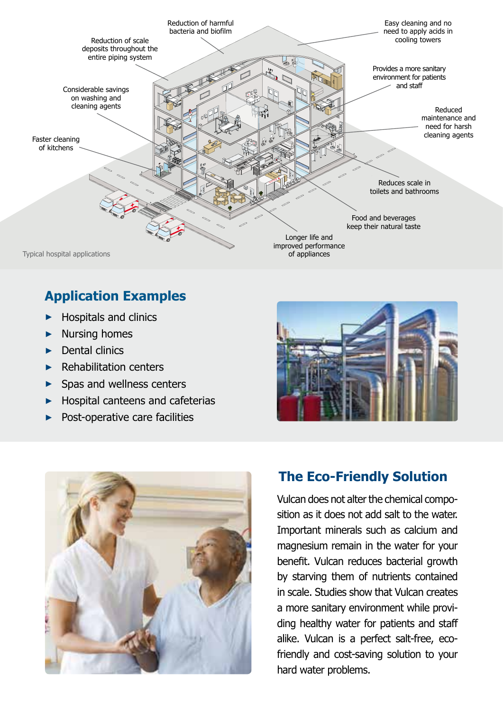

## **Application Examples**

- ► Hospitals and clinics
- ► Nursing homes
- ► Dental clinics
- ► Rehabilitation centers
- ► Spas and wellness centers
- ► Hospital canteens and cafeterias
- Post-operative care facilities





### **The Eco-Friendly Solution**

Vulcan does not alter the chemical composition as it does not add salt to the water. Important minerals such as calcium and magnesium remain in the water for your benefit. Vulcan reduces bacterial growth by starving them of nutrients contained in scale. Studies show that Vulcan creates a more sanitary environment while providing healthy water for patients and staff alike. Vulcan is a perfect salt-free, ecofriendly and cost-saving solution to your hard water problems.